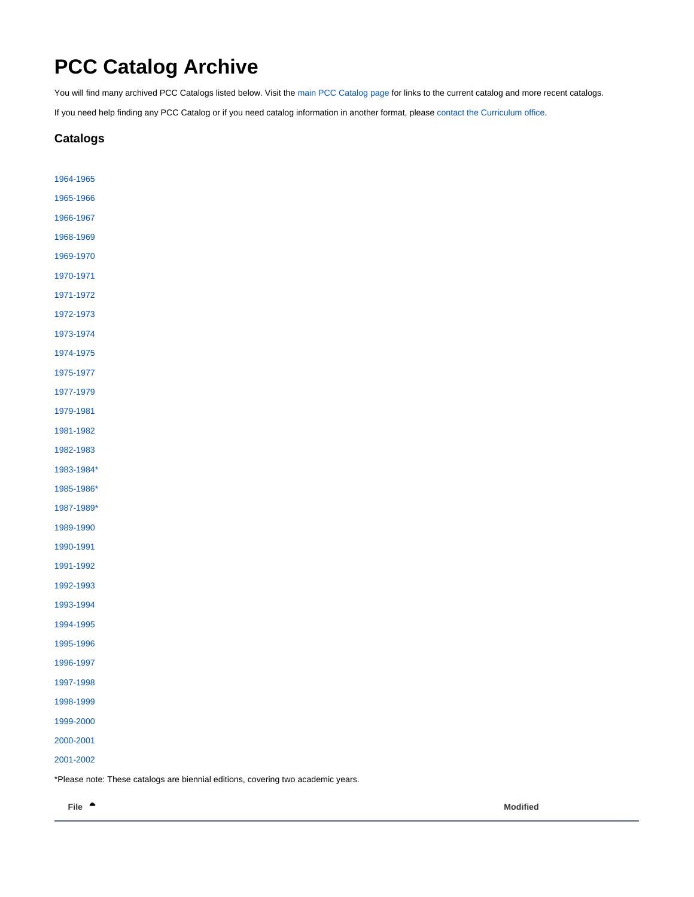## <span id="page-0-0"></span>**PCC Catalog Archive**

You will find many archived PCC Catalogs listed below. Visit the [main PCC Catalog page](http://www.pcc.edu/about/catalog/) for links to the current catalog and more recent catalogs.

If you need help finding any PCC Catalog or if you need catalog information in another format, please [contact the Curriculum office.](http://www.pcc.edu/resources/academic/eac/curriculum/ContactUs.html)

## **Catalogs**

| 1964-1965  |  |  |  |
|------------|--|--|--|
| 1965-1966  |  |  |  |
| 1966-1967  |  |  |  |
| 1968-1969  |  |  |  |
| 1969-1970  |  |  |  |
| 1970-1971  |  |  |  |
| 1971-1972  |  |  |  |
| 1972-1973  |  |  |  |
| 1973-1974  |  |  |  |
| 1974-1975  |  |  |  |
| 1975-1977  |  |  |  |
| 1977-1979  |  |  |  |
| 1979-1981  |  |  |  |
| 1981-1982  |  |  |  |
| 1982-1983  |  |  |  |
| 1983-1984* |  |  |  |
| 1985-1986* |  |  |  |
| 1987-1989* |  |  |  |
| 1989-1990  |  |  |  |
| 1990-1991  |  |  |  |
| 1991-1992  |  |  |  |
| 1992-1993  |  |  |  |
| 1993-1994  |  |  |  |
| 1994-1995  |  |  |  |
| 1995-1996  |  |  |  |
| 1996-1997  |  |  |  |
| 1997-1998  |  |  |  |
| 1998-1999  |  |  |  |
| 1999-2000  |  |  |  |
| 2000-2001  |  |  |  |
| 2001-2002  |  |  |  |

\*Please note: These catalogs are biennial editions, covering two academic years.